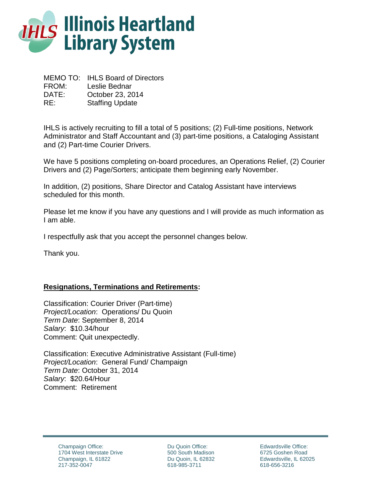

MEMO TO: IHLS Board of Directors FROM: Leslie Bednar DATE: October 23, 2014 RE: Staffing Update

IHLS is actively recruiting to fill a total of 5 positions; (2) Full-time positions, Network Administrator and Staff Accountant and (3) part-time positions, a Cataloging Assistant and (2) Part-time Courier Drivers.

We have 5 positions completing on-board procedures, an Operations Relief, (2) Courier Drivers and (2) Page/Sorters; anticipate them beginning early November.

In addition, (2) positions, Share Director and Catalog Assistant have interviews scheduled for this month.

Please let me know if you have any questions and I will provide as much information as I am able.

I respectfully ask that you accept the personnel changes below.

Thank you.

## **Resignations, Terminations and Retirements:**

Classification: Courier Driver (Part-time) *Project/Location*: Operations/ Du Quoin *Term Date*: September 8, 2014 *Salary*: \$10.34/hour Comment: Quit unexpectedly.

Classification: Executive Administrative Assistant (Full-time) *Project/Location*: General Fund/ Champaign *Term Date*: October 31, 2014 *Salary*: \$20.64/Hour Comment: Retirement

Du Quoin Office: 500 South Madison Du Quoin, IL 62832 618-985-3711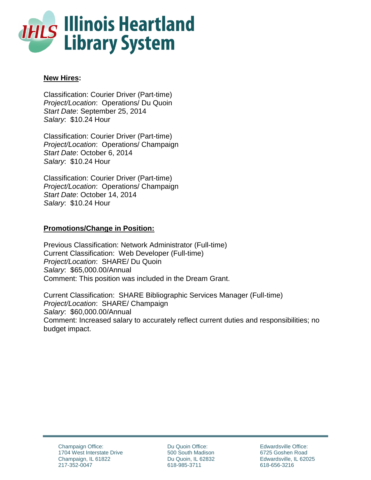

# **New Hires:**

Classification: Courier Driver (Part-time) *Project/Location*: Operations/ Du Quoin *Start Date*: September 25, 2014 *Salary*: \$10.24 Hour

Classification: Courier Driver (Part-time) *Project/Location*: Operations/ Champaign *Start Date*: October 6, 2014 *Salary*: \$10.24 Hour

Classification: Courier Driver (Part-time) *Project/Location*: Operations/ Champaign *Start Date*: October 14, 2014 *Salary*: \$10.24 Hour

# **Promotions/Change in Position:**

Previous Classification: Network Administrator (Full-time) Current Classification: Web Developer (Full-time) *Project/Location*: SHARE/ Du Quoin *Salary*: \$65,000.00/Annual Comment: This position was included in the Dream Grant.

Current Classification: SHARE Bibliographic Services Manager (Full-time) *Project/Location*: SHARE/ Champaign *Salary*: \$60,000.00/Annual Comment: Increased salary to accurately reflect current duties and responsibilities; no budget impact.

Du Quoin Office: 500 South Madison Du Quoin, IL 62832 618-985-3711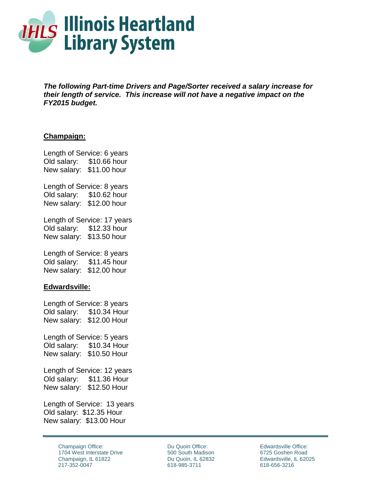

*The following Part-time Drivers and Page/Sorter received a salary increase for their length of service. This increase will not have a negative impact on the FY2015 budget.*

## **Champaign:**

Length of Service: 6 years Old salary: \$10.66 hour New salary: \$11.00 hour

Length of Service: 8 years Old salary: \$10.62 hour New salary: \$12.00 hour

Length of Service: 17 years Old salary: \$12.33 hour New salary: \$13.50 hour

Length of Service: 8 years Old salary: \$11.45 hour New salary: \$12.00 hour

### **Edwardsville:**

Length of Service: 8 years Old salary: \$10.34 Hour New salary: \$12.00 Hour

Length of Service: 5 years Old salary: \$10.34 Hour New salary: \$10.50 Hour

Length of Service: 12 years Old salary: \$11.36 Hour New salary: \$12.50 Hour

Length of Service: 13 years Old salary: \$12.35 Hour New salary: \$13.00 Hour

> Champaign Office: 1704 West Interstate Drive Champaign, IL 61822 217-352-0047

Du Quoin Office: 500 South Madison Du Quoin, IL 62832 618-985-3711